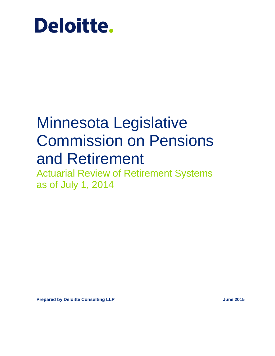

# Minnesota Legislative Commission on Pensions and Retirement

Actuarial Review of Retirement Systems as of July 1, 2014

**Prepared by Deloitte Consulting LLP June 2015**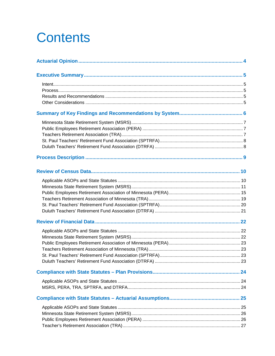# **Contents**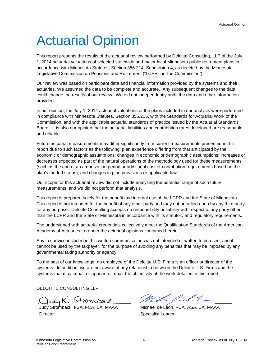# <span id="page-3-0"></span>Actuarial Opinion

This report presents the results of the actuarial review performed by Deloitte Consulting, LLP of the July 1, 2014 actuarial valuations of selected statewide and major local Minnesota public retirement plans in accordance with Minnesota Statutes, Section 356.214, Subdivision 4, as directed by the Minnesota Legislative Commission on Pensions and Retirement ("LCPR" or "the Commission").

Our review was based on participant data and financial information provided by the systems and their actuaries. We assumed the data to be complete and accurate. Any subsequent changes to the data could change the results of our review. We did not independently audit the data and other information provided.

In our opinion, the July 1, 2014 actuarial valuations of the plans included in our analysis were performed in compliance with Minnesota Statutes, Section 356.215, with the Standards for Actuarial Work of the Commission, and with the applicable actuarial standards of practice issued by the Actuarial Standards Board. It is also our opinion that the actuarial liabilities and contribution rates developed are reasonable and reliable.

Future actuarial measurements may differ significantly from current measurements presented in this report due to such factors as the following: plan experience differing from that anticipated by the economic or demographic assumptions; changes in economic or demographic assumptions; increases or decreases expected as part of the natural operations of the methodology used for these measurements (such as the end of an amortization period or additional cost or contribution requirements based on the plan's funded status); and changes in plan provisions or applicable law.

Our scope for this actuarial review did not include analyzing the potential range of such future measurements, and we did not perform that analysis.

This report is prepared solely for the benefit and internal use of the LCPR and the State of Minnesota. This report is not intended for the benefit of any other party and may not be relied upon by any third party for any purpose. Deloitte Consulting accepts no responsibility or liability with respect to any party other than the LCPR and the State of Minnesota in accordance with its statutory and regulatory requirements.

The undersigned with actuarial credentials collectively meet the Qualification Standards of the American Academy of Actuaries to render the actuarial opinions contained herein.

Any tax advice included in this written communication was not intended or written to be used, and it cannot be used by the taxpayer, for the purpose of avoiding any penalties that may be imposed by any governmental taxing authority or agency.

To the best of our knowledge, no employee of the Deloitte U.S. Firms is an officer or director of the systems. In addition, we are not aware of any relationship between the Deloitte U.S. Firms and the systems that may impair or appear to impair the objectivity of the work detailed in this report.

DELOITTE CONSULTING LLP

Judy K. Stromback

**Director** 

Mih P.lt\_

Michael de Leon, FCA, ASA, EA, MAAA Specialist Leader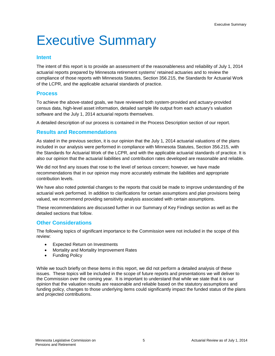# <span id="page-4-0"></span>Executive Summary

### <span id="page-4-1"></span>**Intent**

The intent of this report is to provide an assessment of the reasonableness and reliability of July 1, 2014 actuarial reports prepared by Minnesota retirement systems' retained actuaries and to review the compliance of those reports with Minnesota Statutes, Section 356.215, the Standards for Actuarial Work of the LCPR, and the applicable actuarial standards of practice.

### <span id="page-4-2"></span>**Process**

To achieve the above-stated goals, we have reviewed both system-provided and actuary-provided census data, high-level asset information, detailed sample life output from each actuary's valuation software and the July 1, 2014 actuarial reports themselves.

A detailed description of our process is contained in the Process Description section of our report.

### <span id="page-4-3"></span>**Results and Recommendations**

As stated in the previous section, it is our opinion that the July 1, 2014 actuarial valuations of the plans included in our analysis were performed in compliance with Minnesota Statutes, Section 356.215, with the Standards for Actuarial Work of the LCPR, and with the applicable actuarial standards of practice. It is also our opinion that the actuarial liabilities and contribution rates developed are reasonable and reliable.

We did not find any issues that rose to the level of serious concern; however, we have made recommendations that in our opinion may more accurately estimate the liabilities and appropriate contribution levels.

We have also noted potential changes to the reports that could be made to improve understanding of the actuarial work performed. In addition to clarifications for certain assumptions and plan provisions being valued, we recommend providing sensitivity analysis associated with certain assumptions.

These recommendations are discussed further in our Summary of Key Findings section as well as the detailed sections that follow.

### <span id="page-4-4"></span>**Other Considerations**

The following topics of significant importance to the Commission were not included in the scope of this review:

- Expected Return on Investments
- Mortality and Mortality Improvement Rates
- Funding Policy

While we touch briefly on these items in this report, we did not perform a detailed analysis of these issues. These topics will be included in the scope of future reports and presentations we will deliver to the Commission over the coming year. It is important to understand that while we state that it is our opinion that the valuation results are reasonable and reliable based on the statutory assumptions and funding policy, changes to those underlying items could significantly impact the funded status of the plans and projected contributions.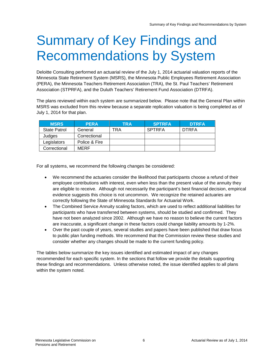# <span id="page-5-0"></span>Summary of Key Findings and Recommendations by System

Deloitte Consulting performed an actuarial review of the July 1, 2014 actuarial valuation reports of the Minnesota State Retirement System (MSRS), the Minnesota Public Employees Retirement Association (PERA), the Minnesota Teachers Retirement Association (TRA), the St. Paul Teachers' Retirement Association (STPRFA), and the Duluth Teachers' Retirement Fund Association (DTRFA).

The plans reviewed within each system are summarized below. Please note that the General Plan within MSRS was excluded from this review because a separate replication valuation is being completed as of July 1, 2014 for that plan.

| <b>MSRS</b>         | <b>PERA</b>   | TRA | <b>SPTRFA</b> | <b>DTRFA</b> |
|---------------------|---------------|-----|---------------|--------------|
| <b>State Patrol</b> | General       | TRA | <b>SPTRFA</b> | <b>DTRFA</b> |
| Judges              | Correctional  |     |               |              |
| Legislators         | Police & Fire |     |               |              |
| Correctional        | MERF          |     |               |              |

For all systems, we recommend the following changes be considered:

- We recommend the actuaries consider the likelihood that participants choose a refund of their employee contributions with interest, even when less than the present value of the annuity they are eligible to receive. Although not necessarily the participant's best financial decision, empirical evidence suggests this choice is not uncommon. We recognize the retained actuaries are correctly following the State of Minnesota Standards for Actuarial Work.
- The Combined Service Annuity scaling factors, which are used to reflect additional liabilities for participants who have transferred between systems, should be studied and confirmed. They have not been analyzed since 2002. Although we have no reason to believe the current factors are inaccurate, a significant change in these factors could change liability amounts by 1-2%.
- Over the past couple of years, several studies and papers have been published that draw focus to public plan funding methods. We recommend that the Commission review these studies and consider whether any changes should be made to the current funding policy.

The tables below summarize the key issues identified and estimated impact of any changes recommended for each specific system. In the sections that follow we provide the details supporting these findings and recommendations. Unless otherwise noted, the issue identified applies to all plans within the system noted.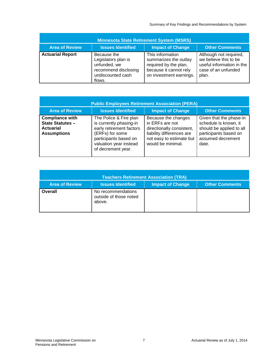Summary of Key Findings and Recommendations by System

<span id="page-6-0"></span>

| <b>Minnesota State Retirement System (MSRS)</b> |                                                                                                           |                                                                                                                         |                                                                                                              |  |  |  |
|-------------------------------------------------|-----------------------------------------------------------------------------------------------------------|-------------------------------------------------------------------------------------------------------------------------|--------------------------------------------------------------------------------------------------------------|--|--|--|
| <b>Area of Review</b>                           | <b>Issues Identified</b>                                                                                  | <b>Impact of Change</b>                                                                                                 | <b>Other Comments</b>                                                                                        |  |  |  |
| <b>Actuarial Report</b>                         | Because the<br>Legislators plan is<br>unfunded, we<br>recommend disclosing<br>undiscounted cash<br>flows. | This information<br>summarizes the outlay<br>required by the plan,<br>because it cannot rely<br>on investment earnings. | Although not required,<br>we believe this to be<br>useful information in the<br>case of an unfunded<br>plan. |  |  |  |

<span id="page-6-1"></span>

| <b>Public Employees Retirement Association (PERA)</b>                                       |                                                                                                                                                                           |                                                                                                                                                   |                                                                                                                                     |  |  |  |
|---------------------------------------------------------------------------------------------|---------------------------------------------------------------------------------------------------------------------------------------------------------------------------|---------------------------------------------------------------------------------------------------------------------------------------------------|-------------------------------------------------------------------------------------------------------------------------------------|--|--|--|
| <b>Area of Review</b>                                                                       | <b>Issues Identified</b>                                                                                                                                                  | <b>Impact of Change</b>                                                                                                                           | <b>Other Comments</b>                                                                                                               |  |  |  |
| <b>Compliance with</b><br><b>State Statutes -</b><br><b>Actuarial</b><br><b>Assumptions</b> | The Police & Fire plan<br>is currently phasing-in<br>early retirement factors<br>(ERFs) for some<br>participants based on<br>valuation year instead<br>of decrement year. | Because the changes<br>in ERFs are not<br>directionally consistent,<br>liability differences are<br>not easy to estimate but<br>would be minimal. | Given that the phase-in<br>schedule is known, it<br>should be applied to all<br>participants based on<br>assumed decrement<br>date. |  |  |  |

<span id="page-6-2"></span>

| <b>Teachers Retirement Association (TRA)</b> |                                                        |                         |                       |  |  |  |
|----------------------------------------------|--------------------------------------------------------|-------------------------|-----------------------|--|--|--|
| <b>Area of Review</b>                        | <b>Issues Identified</b>                               | <b>Impact of Change</b> | <b>Other Comments</b> |  |  |  |
| <b>Overall</b>                               | No recommendations<br>outside of those noted<br>above. |                         |                       |  |  |  |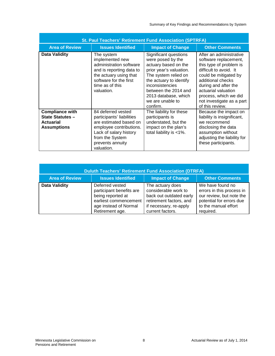<span id="page-7-0"></span>

| <b>St. Paul Teachers' Retirement Fund Association (SPTRFA)</b>                              |                                                                                                                                                                                     |                                                                                                                                                                                                                                                     |                                                                                                                                                                                                                                                                             |  |  |  |
|---------------------------------------------------------------------------------------------|-------------------------------------------------------------------------------------------------------------------------------------------------------------------------------------|-----------------------------------------------------------------------------------------------------------------------------------------------------------------------------------------------------------------------------------------------------|-----------------------------------------------------------------------------------------------------------------------------------------------------------------------------------------------------------------------------------------------------------------------------|--|--|--|
| <b>Area of Review</b>                                                                       | <b>Issues Identified</b>                                                                                                                                                            | <b>Impact of Change</b>                                                                                                                                                                                                                             | <b>Other Comments</b>                                                                                                                                                                                                                                                       |  |  |  |
| <b>Data Validity</b>                                                                        | The system<br>implemented new<br>administration software<br>and is reporting data to<br>the actuary using that<br>software for the first<br>time as of this<br>valuation.           | Significant questions<br>were posed by the<br>actuary based on the<br>prior year's valuation.<br>The system relied on<br>the actuary to identify<br>inconsistencies<br>between the 2014 and<br>2013 database, which<br>we are unable to<br>confirm. | After an administrative<br>software replacement,<br>this type of problem is<br>difficult to avoid. It<br>could be mitigated by<br>additional checks<br>during and after the<br>actuarial valuation<br>process, which we did<br>not investigate as a part<br>of this review. |  |  |  |
| <b>Compliance with</b><br><b>State Statutes -</b><br><b>Actuarial</b><br><b>Assumptions</b> | 84 deferred vested<br>participants' liabilities<br>are estimated based on<br>employee contributions.<br>Lack of salary history<br>from the System<br>prevents annuity<br>valuation. | The liability for these<br>participants is<br>understated, but the<br>impact on the plan's<br>total liability is <1%.                                                                                                                               | Because the impact on<br>liability is insignificant,<br>we recommend<br>disclosing the data<br>assumption without<br>adjusting the liability for<br>these participants.                                                                                                     |  |  |  |

<span id="page-7-1"></span>

| <b>Duluth Teachers' Retirement Fund Association (DTRFA)</b> |                                                                                                                                       |                                                                                                                                              |                                                                                                                                            |  |  |  |
|-------------------------------------------------------------|---------------------------------------------------------------------------------------------------------------------------------------|----------------------------------------------------------------------------------------------------------------------------------------------|--------------------------------------------------------------------------------------------------------------------------------------------|--|--|--|
| <b>Area of Review</b>                                       | <b>Issues Identified</b>                                                                                                              | <b>Impact of Change</b>                                                                                                                      | <b>Other Comments</b>                                                                                                                      |  |  |  |
| <b>Data Validity</b>                                        | Deferred vested<br>participant benefits are<br>being reported at<br>earliest commencement<br>age instead of Normal<br>Retirement age. | The actuary does<br>considerable work to<br>back out outdated early<br>retirement factors, and<br>if necessary, re-apply<br>current factors. | We have found no<br>errors in this process in<br>our review, but note the<br>potential for errors due<br>to the manual effort<br>required. |  |  |  |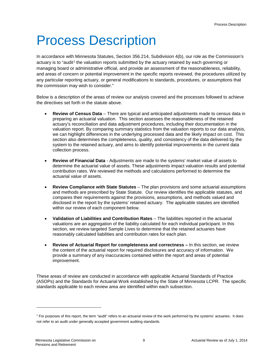# <span id="page-8-0"></span>Process Description

In accordance with Minnesota Statutes, Section 356.214, Subdivision 4(b), our role as the Commission's actuary is to "audit<sup>[1](#page-8-1)</sup> the valuation reports submitted by the actuary retained by each governing or managing board or administrative official, and provide an assessment of the reasonableness, reliability, and areas of concern or potential improvement in the specific reports reviewed, the procedures utilized by any particular reporting actuary, or general modifications to standards, procedures, or assumptions that the commission may wish to consider."

Below is a description of the areas of review our analysis covered and the processes followed to achieve the directives set forth in the statute above.

- **Review of Census Data** There are typical and anticipated adjustments made to census data in preparing an actuarial valuation. This section assesses the reasonableness of the retained actuary's reconciliation and data adjustment procedures, including their documentation in the valuation report. By comparing summary statistics from the valuation reports to our data analysis, we can highlight differences in the underlying processed data and the likely impact on cost. This section also determines the completeness, quality, and consistency of the data delivered by the system to the retained actuary, and aims to identify potential improvements in the current data collection process.
- **Review of Financial Data** Adjustments are made to the systems' market value of assets to determine the actuarial value of assets. These adjustments impact valuation results and potential contribution rates. We reviewed the methods and calculations performed to determine the actuarial value of assets.
- **Review Compliance with State Statutes** The plan provisions and some actuarial assumptions and methods are prescribed by State Statute. Our review identifies the applicable statutes, and compares their requirements against the provisions, assumptions, and methods valued and disclosed in the report by the systems' retained actuary. The applicable statutes are identified within our review of each component below.
- **Validation of Liabilities and Contribution Rates** The liabilities reported in the actuarial valuations are an aggregation of the liability calculated for each individual participant. In this section, we review targeted Sample Lives to determine that the retained actuaries have reasonably calculated liabilities and contribution rates for each plan.
- **Review of Actuarial Report for completeness and correctness –** In this section, we review the content of the actuarial report for required disclosures and accuracy of information. We provide a summary of any inaccuracies contained within the report and areas of potential improvement.

These areas of review are conducted in accordance with applicable Actuarial Standards of Practice (ASOPs) and the Standards for Actuarial Work established by the State of Minnesota LCPR. The specific standards applicable to each review area are identified within each subsection.

-

<span id="page-8-1"></span><sup>1</sup> For purposes of this report, the term "audit" refers to an actuarial review of the work performed by the systems' actuaries. It does not refer to an audit under generally accepted government auditing standards.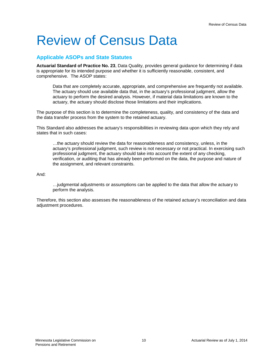# <span id="page-9-0"></span>Review of Census Data

## <span id="page-9-1"></span>**Applicable ASOPs and State Statutes**

**Actuarial Standard of Practice No. 23**, Data Quality, provides general guidance for determining if data is appropriate for its intended purpose and whether it is sufficiently reasonable, consistent, and comprehensive. The ASOP states:

Data that are completely accurate, appropriate, and comprehensive are frequently not available. The actuary should use available data that, in the actuary's professional judgment, allow the actuary to perform the desired analysis. However, if material data limitations are known to the actuary, the actuary should disclose those limitations and their implications.

The purpose of this section is to determine the completeness, quality, and consistency of the data and the data transfer process from the system to the retained actuary.

This Standard also addresses the actuary's responsibilities in reviewing data upon which they rely and states that in such cases:

…the actuary should review the data for reasonableness and consistency, unless, in the actuary's professional judgment, such review is not necessary or not practical. In exercising such professional judgment, the actuary should take into account the extent of any checking, verification, or auditing that has already been performed on the data, the purpose and nature of the assignment, and relevant constraints.

And:

…judgmental adjustments or assumptions can be applied to the data that allow the actuary to perform the analysis.

Therefore, this section also assesses the reasonableness of the retained actuary's reconciliation and data adjustment procedures.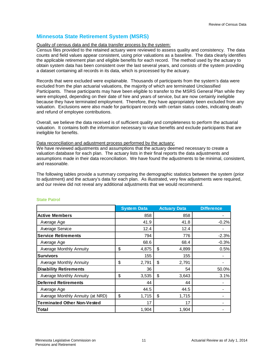# <span id="page-10-0"></span>**Minnesota State Retirement System (MSRS)**

#### Quality of census data and the data transfer process by the system:

Census files provided to the retained actuary were reviewed to assess quality and consistency. The data counts and field values appear consistent, using prior valuations as a baseline. The data clearly identifies the applicable retirement plan and eligible benefits for each record. The method used by the actuary to obtain system data has been consistent over the last several years, and consists of the system providing a dataset containing all records in its data, which is processed by the actuary.

Records that were excluded were explainable. Thousands of participants from the system's data were excluded from the plan actuarial valuations, the majority of which are terminated Unclassified Participants. These participants may have been eligible to transfer to the MSRS General Plan while they were employed, depending on their date of hire and years of service, but are now certainly ineligible because they have terminated employment. Therefore, they have appropriately been excluded from any valuation. Exclusions were also made for participant records with certain status codes, indicating death and refund of employee contributions.

Overall, we believe the data received is of sufficient quality and completeness to perform the actuarial valuation. It contains both the information necessary to value benefits and exclude participants that are ineligible for benefits.

#### Data reconciliation and adjustment process performed by the actuary:

We have reviewed adjustments and assumptions that the actuary deemed necessary to create a valuation database for each plan. The actuary lists in their final reports the data adjustments and assumptions made in their data reconciliation. We have found the adjustments to be minimal, consistent, and reasonable.

The following tables provide a summary comparing the demographic statistics between the system (prior to adjustment) and the actuary's data for each plan. As illustrated, very few adjustments were required, and our review did not reveal any additional adjustments that we would recommend.

|                                    | <b>System Data</b> | <b>Actuary Data</b> | <b>Difference</b> |
|------------------------------------|--------------------|---------------------|-------------------|
| <b>Active Members</b>              | 858                | 858                 |                   |
| Average Age                        | 41.9               | 41.8                | $-0.2%$           |
| Average Service                    | 12.4               | 12.4                |                   |
| <b>Service Retirements</b>         | 794                | 776                 | $-2.3%$           |
| Average Age                        | 68.6               | 68.4                | $-0.3%$           |
| <b>Average Monthly Annuity</b>     | \$<br>4,875        | \$<br>4,899         | 0.5%              |
| <b>Survivors</b>                   | 155                | 155                 |                   |
| <b>Average Monthly Annuity</b>     | \$<br>2,791        | \$<br>2,791         |                   |
| <b>Disability Retirements</b>      | 36                 | 54                  | 50.0%             |
| Average Monthly Annuity            | \$<br>3,535        | \$<br>3,643         | 3.1%              |
| <b>Deferred Retirements</b>        | 44                 | 44                  |                   |
| Average Age                        | 44.5               | 44.5                |                   |
| Average Monthly Annuity (at NRD)   | \$<br>1,715        | \$<br>1,715         |                   |
| <b>Terminated Other Non-Vested</b> | 17                 | 17                  |                   |
| Total                              | 1,904              | 1,904               |                   |

#### **State Patrol**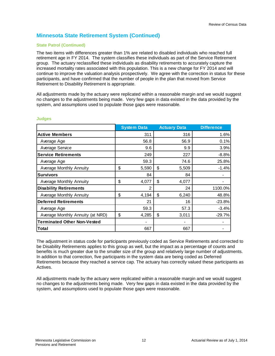#### **State Patrol (Continued)**

The two items with differences greater than 1% are related to disabled individuals who reached full retirement age in FY 2014. The system classifies these individuals as part of the Service Retirement group. The actuary reclassified these individuals as disability retirements to accurately capture the increased mortality rates associated with this population. This is a new change for FY 2014 and will continue to improve the valuation analysis prospectively. We agree with the correction in status for these participants, and have confirmed that the number of people in the plan that moved from Service Retirement to Disability Retirement is appropriate.

All adjustments made by the actuary were replicated within a reasonable margin and we would suggest no changes to the adjustments being made. Very few gaps in data existed in the data provided by the system, and assumptions used to populate those gaps were reasonable.

|                                    | <b>System Data</b> | <b>Actuary Data</b> | <b>Difference</b> |
|------------------------------------|--------------------|---------------------|-------------------|
| <b>Active Members</b>              | 311                | 316                 | 1.6%              |
| Average Age                        | 56.8               | 56.9                | 0.1%              |
| Average Service                    | 9.6                | 9.9                 | 3.9%              |
| <b>Service Retirements</b>         | 249                | 227                 | $-8.8%$           |
| Average Age                        | 59.3               | 74.6                | 25.8%             |
| Average Monthly Annuity            | \$<br>5,590        | \$<br>5,509         | $-1.4%$           |
| <b>Survivors</b>                   | 84                 | 84                  |                   |
| Average Monthly Annuity            | \$<br>4,077        | \$<br>4,077         |                   |
| <b>Disability Retirements</b>      | 2                  | 24                  | 1100.0%           |
| Average Monthly Annuity            | \$<br>4,194        | \$<br>6,240         | 48.8%             |
| <b>Deferred Retirements</b>        | 21                 | 16                  | $-23.8%$          |
| Average Age                        | 59.3               | 57.3                | $-3.4%$           |
| Average Monthly Annuity (at NRD)   | \$<br>4,285        | \$<br>3,011         | $-29.7%$          |
| <b>Terminated Other Non-Vested</b> |                    |                     |                   |
| Total                              | 667                | 667                 |                   |

#### **Judges**

The adjustment in status code for participants previously coded as Service Retirements and corrected to be Disability Retirements applies to this group as well, but the impact as a percentage of counts and benefits is much greater due to the smaller size of the group and relatively large number of adjustments. In addition to that correction, five participants in the system data are being coded as Deferred Retirements because they reached a service cap. The actuary has correctly valued these participants as Actives.

All adjustments made by the actuary were replicated within a reasonable margin and we would suggest no changes to the adjustments being made. Very few gaps in data existed in the data provided by the system, and assumptions used to populate those gaps were reasonable.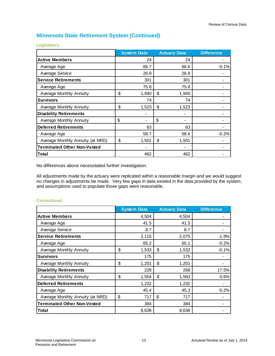|                                    | <b>System Data</b> | <b>Actuary Data</b> |       | <b>Difference</b> |
|------------------------------------|--------------------|---------------------|-------|-------------------|
| <b>Active Members</b>              | 24                 |                     | 24    |                   |
| Average Age                        | 66.7               |                     | 66.6  | $-0.1%$           |
| Average Service                    | 26.9               |                     | 26.9  |                   |
| <b>Service Retirements</b>         | 301                |                     | 301   |                   |
| Average Age                        | 75.8               |                     | 75.8  |                   |
| Average Monthly Annuity            | \$<br>1,940        | \$                  | 1,940 |                   |
| <b>Survivors</b>                   | 74                 |                     | 74    |                   |
| Average Monthly Annuity            | \$<br>1,523        | \$                  | 1,523 |                   |
| <b>Disability Retirements</b>      |                    |                     |       |                   |
| <b>Average Monthly Annuity</b>     | \$                 | \$                  |       |                   |
| <b>Deferred Retirements</b>        | 63                 |                     | 63    |                   |
| Average Age                        | 58.7               |                     | 58.6  | $-0.2%$           |
| Average Monthly Annuity (at NRD)   | \$<br>1,501        | \$                  | 1,501 |                   |
| <b>Terminated Other Non-Vested</b> |                    |                     |       |                   |
| Total                              | 462                |                     | 462   |                   |

**Legislators**

No differences above necessitated further investigation.

All adjustments made by the actuary were replicated within a reasonable margin and we would suggest no changes in adjustments be made. Very few gaps in data existed in the data provided by the system, and assumptions used to populate those gaps were reasonable.

|                                    | <b>System Data</b> | <b>Actuary Data</b> | <b>Difference</b> |
|------------------------------------|--------------------|---------------------|-------------------|
| <b>Active Members</b>              | 4,504              | 4,504               |                   |
| Average Age                        | 41.5               | 41.5                |                   |
| Average Service                    | 8.7                | 8.7                 |                   |
| <b>Service Retirements</b>         | 2,115              | 2,075               | $-1.9%$           |
| Average Age                        | 65.2               | 65.1                | $-0.2%$           |
| Average Monthly Annuity            | \$<br>1,533        | \$<br>1,532         | $-0.1%$           |
| <b>Survivors</b>                   | 175                | 175                 |                   |
| Average Monthly Annuity            | \$<br>1,201        | \$<br>1,201         |                   |
| <b>Disability Retirements</b>      | 228                | 268                 | 17.5%             |
| Average Monthly Annuity            | \$<br>1,554        | \$<br>1,563         | 0.6%              |
| <b>Deferred Retirements</b>        | 1,232              | 1,232               |                   |
| Average Age                        | 45.4               | 45.3                | $-0.2%$           |
| Average Monthly Annuity (at NRD)   | \$<br>717          | \$<br>717           |                   |
| <b>Terminated Other Non-Vested</b> | 384                | 384                 |                   |
| Total                              | 8,638              | 8,638               |                   |

#### **Correctional**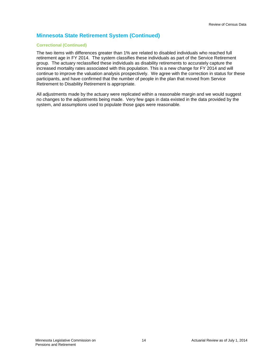### **Correctional (Continued)**

The two items with differences greater than 1% are related to disabled individuals who reached full retirement age in FY 2014. The system classifies these individuals as part of the Service Retirement group. The actuary reclassified these individuals as disability retirements to accurately capture the increased mortality rates associated with this population. This is a new change for FY 2014 and will continue to improve the valuation analysis prospectively. We agree with the correction in status for these participants, and have confirmed that the number of people in the plan that moved from Service Retirement to Disability Retirement is appropriate.

All adjustments made by the actuary were replicated within a reasonable margin and we would suggest no changes to the adjustments being made. Very few gaps in data existed in the data provided by the system, and assumptions used to populate those gaps were reasonable.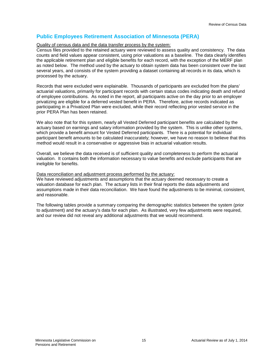# <span id="page-14-0"></span>**Public Employees Retirement Association of Minnesota (PERA)**

#### Quality of census data and the data transfer process by the system:

Census files provided to the retained actuary were reviewed to assess quality and consistency. The data counts and field values appear consistent, using prior valuations as a baseline. The data clearly identifies the applicable retirement plan and eligible benefits for each record, with the exception of the MERF plan as noted below. The method used by the actuary to obtain system data has been consistent over the last several years, and consists of the system providing a dataset containing all records in its data, which is processed by the actuary.

Records that were excluded were explainable. Thousands of participants are excluded from the plans' actuarial valuations, primarily for participant records with certain status codes indicating death and refund of employee contributions. As noted in the report, all participants active on the day prior to an employer privatizing are eligible for a deferred vested benefit in PERA. Therefore, active records indicated as participating in a Privatized Plan were excluded, while their record reflecting prior vested service in the prior PERA Plan has been retained.

We also note that for this system, nearly all Vested Deferred participant benefits are calculated by the actuary based on earnings and salary information provided by the system. This is unlike other systems, which provide a benefit amount for Vested Deferred participants. There is a potential for individual participant benefit amounts to be calculated inaccurately; however, we have no reason to believe that this method would result in a conservative or aggressive bias in actuarial valuation results.

Overall, we believe the data received is of sufficient quality and completeness to perform the actuarial valuation. It contains both the information necessary to value benefits and exclude participants that are ineligible for benefits.

#### Data reconciliation and adjustment process performed by the actuary:

We have reviewed adjustments and assumptions that the actuary deemed necessary to create a valuation database for each plan. The actuary lists in their final reports the data adjustments and assumptions made in their data reconciliation. We have found the adjustments to be minimal, consistent, and reasonable.

The following tables provide a summary comparing the demographic statistics between the system (prior to adjustment) and the actuary's data for each plan. As illustrated, very few adjustments were required, and our review did not reveal any additional adjustments that we would recommend.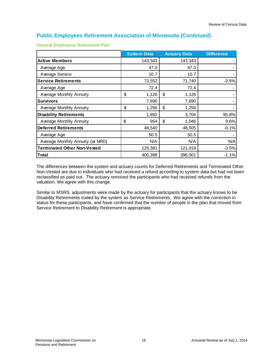|                                    | <b>System Data</b> | <b>Actuary Data</b> |        | <b>Difference</b> |
|------------------------------------|--------------------|---------------------|--------|-------------------|
| <b>Active Members</b>              | 143,343            | 143,343             |        |                   |
| Average Age                        | 47.0               |                     | 47.0   |                   |
| Average Service                    | 10.7               |                     | 10.7   |                   |
| <b>Service Retirements</b>         | 73,552             |                     | 71,740 | $-2.5%$           |
| Average Age                        | 72.4               |                     | 72.4   |                   |
| Average Monthly Annuity            | \$<br>1,126        | \$                  | 1,126  |                   |
| <b>Survivors</b>                   | 7,690              |                     | 7,690  |                   |
| Average Monthly Annuity            | \$<br>1,256        | \$                  | 1,256  |                   |
| <b>Disability Retirements</b>      | 1,892              |                     | 3,704  | 95.8%             |
| Average Monthly Annuity            | \$<br>954          | \$                  | 1,046  | 9.6%              |
| <b>Deferred Retirements</b>        | 48,540             |                     | 48,505 | $-0.1%$           |
| Average Age                        | 50.5               |                     | 50.5   |                   |
| Average Monthly Annuity (at NRD)   | N/A                |                     | N/A    | N/A               |
| <b>Terminated Other Non-Vested</b> | 125,381            | 121,019             |        | $-3.5%$           |
| <b>Total</b>                       | 400,398            | 396,001             |        | $-1.1%$           |

**General Employees Retirement Plan**

The differences between the system and actuary counts for Deferred Retirements and Terminated Other Non-Vested are due to individuals who had received a refund according to system data but had not been reclassified as paid out. The actuary removed the participants who had received refunds from the valuation. We agree with this change.

Similar to MSRS, adjustments were made by the actuary for participants that the actuary knows to be Disability Retirements coded by the system as Service Retirements. We agree with the correction in status for these participants, and have confirmed that the number of people in the plan that moved from Service Retirement to Disability Retirement is appropriate.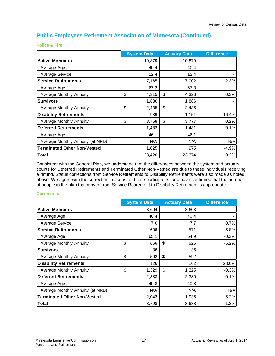**Police & Fire** 

|                                    | <b>System Data</b> | <b>Actuary Data</b> |        | <b>Difference</b> |
|------------------------------------|--------------------|---------------------|--------|-------------------|
| <b>Active Members</b>              | 10,879             |                     | 10,879 |                   |
| Average Age                        | 40.4               |                     | 40.4   |                   |
| Average Service                    | 12.4               |                     | 12.4   |                   |
| <b>Service Retirements</b>         | 7,165              |                     | 7,002  | $-2.3%$           |
| Average Age                        | 67.3               |                     | 67.3   |                   |
| <b>Average Monthly Annuity</b>     | \$<br>4,315        | \$                  | 4,326  | 0.3%              |
| <b>Survivors</b>                   | 1,886              |                     | 1,886  |                   |
| <b>Average Monthly Annuity</b>     | \$<br>2,435        | \$                  | 2,435  |                   |
| <b>Disability Retirements</b>      | 989                |                     | 1,151  | 16.4%             |
| Average Monthly Annuity            | \$<br>3,768        | \$                  | 3,777  | 0.2%              |
| <b>Deferred Retirements</b>        | 1,482              |                     | 1,481  | $-0.1%$           |
| Average Age                        | 46.1               |                     | 46.1   |                   |
| Average Monthly Annuity (at NRD)   | N/A                |                     | N/A    | N/A               |
| <b>Terminated Other Non-Vested</b> | 1,025              |                     | 975    | $-4.9%$           |
| Total                              | 23,426             |                     | 23,374 | $-0.2%$           |

Consistent with the General Plan, we understand that the differences between the system and actuary counts for Deferred Retirements and Terminated Other Non-Vested are due to these individuals receiving a refund. Status corrections from Service Retirements to Disability Retirements were also made as noted above. We agree with the correction in status for these participants, and have confirmed that the number of people in the plan that moved from Service Retirement to Disability Retirement is appropriate.

#### **Correctional**

|                                    | <b>System Data</b> | <b>Actuary Data</b> |       | <b>Difference</b> |
|------------------------------------|--------------------|---------------------|-------|-------------------|
| <b>Active Members</b>              | 3,604              | 3,603               |       |                   |
| Average Age                        | 40.4               |                     | 40.4  |                   |
| Average Service                    | 7.6                |                     | 7.7   | 0.7%              |
| <b>Service Retirements</b>         | 606                |                     | 571   | $-5.8%$           |
| Average Age                        | 65.1               |                     | 64.9  | $-0.3%$           |
| Average Monthly Annuity            | \$<br>666          | \$                  | 625   | $-6.2%$           |
| <b>Survivors</b>                   | 36                 |                     | 36    |                   |
| <b>Average Monthly Annuity</b>     | \$<br>592          | \$                  | 592   |                   |
| <b>Disability Retirements</b>      | 126                |                     | 162   | 28.6%             |
| Average Monthly Annuity            | \$<br>1,329        | \$                  | 1,325 | $-0.3%$           |
| <b>Deferred Retirements</b>        | 2,383              | 2,380               |       | $-0.1%$           |
| Average Age                        | 40.8               |                     | 40.8  |                   |
| Average Monthly Annuity (at NRD)   | N/A                |                     | N/A   | N/A               |
| <b>Terminated Other Non-Vested</b> | 2,043              |                     | 1,936 | $-5.2%$           |
| Total                              | 8,798              | 8,688               |       | $-1.3%$           |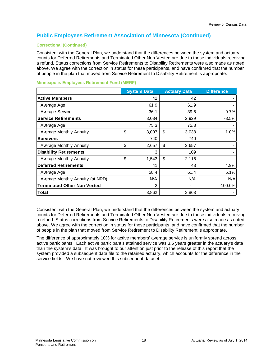### **Correctional (Continued)**

Consistent with the General Plan, we understand that the differences between the system and actuary counts for Deferred Retirements and Terminated Other Non-Vested are due to these individuals receiving a refund. Status corrections from Service Retirements to Disability Retirements were also made as noted above. We agree with the correction in status for these participants, and have confirmed that the number of people in the plan that moved from Service Retirement to Disability Retirement is appropriate.

|                                    | <b>System Data</b> | <b>Actuary Data</b> |       | <b>Difference</b> |
|------------------------------------|--------------------|---------------------|-------|-------------------|
| <b>Active Members</b>              | 42                 |                     | 42    |                   |
| Average Age                        | 61.9               |                     | 61.9  |                   |
| Average Service                    | 36.1               |                     | 39.6  | 9.7%              |
| <b>Service Retirements</b>         | 3,034              |                     | 2,929 | $-3.5%$           |
| Average Age                        | 75.3               |                     | 75.3  |                   |
| <b>Average Monthly Annuity</b>     | \$<br>3,007        | \$                  | 3,038 | 1.0%              |
| <b>Survivors</b>                   | 740                |                     | 740   |                   |
| Average Monthly Annuity            | \$<br>2,657        | \$                  | 2,657 |                   |
| <b>Disability Retirements</b>      | 3                  |                     | 109   |                   |
| Average Monthly Annuity            | \$<br>1,543        | \$                  | 2,116 |                   |
| <b>Deferred Retirements</b>        | 41                 |                     | 43    | 4.9%              |
| Average Age                        | 58.4               |                     | 61.4  | 5.1%              |
| Average Monthly Annuity (at NRD)   | N/A                |                     | N/A   | N/A               |
| <b>Terminated Other Non-Vested</b> | 2                  |                     |       | $-100.0%$         |
| Total                              | 3,862              |                     | 3,863 |                   |

#### **Minneapolis Employees Retirement Fund (MERF)**

Consistent with the General Plan, we understand that the differences between the system and actuary counts for Deferred Retirements and Terminated Other Non-Vested are due to these individuals receiving a refund. Status corrections from Service Retirements to Disability Retirements were also made as noted above. We agree with the correction in status for these participants, and have confirmed that the number of people in the plan that moved from Service Retirement to Disability Retirement is appropriate.

The difference of approximately 10% for active members' average service is uniformly spread across active participants. Each active participant's attained service was 3.5 years greater in the actuary's data than the system's data. It was brought to our attention just prior to the release of this report that the system provided a subsequent data file to the retained actuary, which accounts for the difference in the service fields. We have not reviewed this subsequent dataset.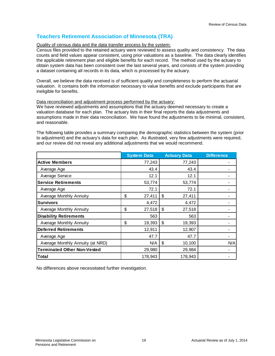# <span id="page-18-0"></span>**Teachers Retirement Association of Minnesota (TRA)**

#### Quality of census data and the data transfer process by the system:

Census files provided to the retained actuary were reviewed to assess quality and consistency. The data counts and field values appear consistent, using prior valuations as a baseline. The data clearly identifies the applicable retirement plan and eligible benefits for each record. The method used by the actuary to obtain system data has been consistent over the last several years, and consists of the system providing a dataset containing all records in its data, which is processed by the actuary.

Overall, we believe the data received is of sufficient quality and completeness to perform the actuarial valuation. It contains both the information necessary to value benefits and exclude participants that are ineligible for benefits.

#### Data reconciliation and adjustment process performed by the actuary:

We have reviewed adjustments and assumptions that the actuary deemed necessary to create a valuation database for each plan. The actuary lists in their final reports the data adjustments and assumptions made in their data reconciliation. We have found the adjustments to be minimal, consistent, and reasonable.

The following table provides a summary comparing the demographic statistics between the system (prior to adjustment) and the actuary's data for each plan. As illustrated, very few adjustments were required, and our review did not reveal any additional adjustments that we would recommend.

|                                    | <b>System Data</b> | <b>Actuary Data</b> | <b>Difference</b> |
|------------------------------------|--------------------|---------------------|-------------------|
| <b>Active Members</b>              | 77,243             | 77,243              |                   |
| Average Age                        | 43.4               | 43.4                |                   |
| Average Service                    | 12.1               | 12.1                |                   |
| <b>Service Retirements</b>         | 53,774             | 53,774              |                   |
| Average Age                        | 72.1               | 72.1                |                   |
| Average Monthly Annuity            | \$<br>27,411       | \$<br>27,411        |                   |
| <b>Survivors</b>                   | 4,472              | 4,472               |                   |
| Average Monthly Annuity            | \$<br>27,518       | \$<br>27,518        |                   |
| <b>Disability Retirements</b>      | 563                | 563                 |                   |
| Average Monthly Annuity            | \$<br>19,393       | \$<br>19,393        |                   |
| <b>Deferred Retirements</b>        | 12,911             | 12,907              |                   |
| Average Age                        | 47.7               | 47.7                |                   |
| Average Monthly Annuity (at NRD)   | N/A                | \$<br>10,100        | N/A               |
| <b>Terminated Other Non-Vested</b> | 29,980             | 29,984              |                   |
| Total                              | 178,943            | 178,943             |                   |

No differences above necessitated further investigation.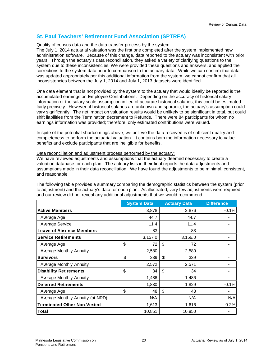# <span id="page-19-0"></span>**St. Paul Teachers' Retirement Fund Association (SPTRFA)**

#### Quality of census data and the data transfer process by the system:

The July 1, 2014 actuarial valuation was the first one completed after the system implemented new administration software. Because of this change, data reported to the actuary was inconsistent with prior years. Through the actuary's data reconciliation, they asked a variety of clarifying questions to the system due to these inconsistencies. We were provided these questions and answers, and applied the corrections to the system data prior to comparison to the actuary data. While we can confirm that data was updated appropriately per this additional information from the system, we cannot confirm that all inconsistencies between the July 1, 2014 and July 1, 2013 datasets were identified.

One data element that is not provided by the system to the actuary that would ideally be reported is the accumulated earnings on Employee Contributions. Depending on the accuracy of historical salary information or the salary scale assumption in lieu of accurate historical salaries, this could be estimated fairly precisely. However, if historical salaries are unknown and sporadic, the actuary's assumption could vary significantly. The net impact on valuation results would be unlikely to be significant in total, but could shift liabilities from the Termination decrement to Refunds. There were 84 participants for whom no earnings information was provided; therefore, only estimated contributions were valued.

In spite of the potential shortcomings above, we believe the data received is of sufficient quality and completeness to perform the actuarial valuation. It contains both the information necessary to value benefits and exclude participants that are ineligible for benefits.

#### Data reconciliation and adjustment process performed by the actuary:

We have reviewed adjustments and assumptions that the actuary deemed necessary to create a valuation database for each plan. The actuary lists in their final reports the data adjustments and assumptions made in their data reconciliation. We have found the adjustments to be minimal, consistent, and reasonable.

The following table provides a summary comparing the demographic statistics between the system (prior to adjustment) and the actuary's data for each plan. As illustrated, very few adjustments were required, and our review did not reveal any additional adjustments that we would recommend.

|                                    | <b>System Data</b> | <b>Actuary Data</b> |       | <b>Difference</b> |
|------------------------------------|--------------------|---------------------|-------|-------------------|
| <b>Active Members</b>              | 3,878              |                     | 3,876 | $-0.1%$           |
| Average Age                        | 44.7               |                     | 44.7  |                   |
| Average Service                    | 11.4               |                     | 11.4  |                   |
| <b>Leave of Absence Members</b>    | 83                 |                     | 83    |                   |
| <b>Service Retirements</b>         | 3,157.0            | 3,156.0             |       |                   |
| Average Age                        | \$<br>72           | \$                  | 72    |                   |
| Average Monthly Annuity            | 2,580              |                     | 2,580 |                   |
| <b>Survivors</b>                   | \$<br>339          | \$                  | 339   |                   |
| Average Monthly Annuity            | 2,572              |                     | 2,571 |                   |
| <b>Disability Retirements</b>      | \$<br>34           | \$                  | 34    |                   |
| Average Monthly Annuity            | 1,486              |                     | 1,486 |                   |
| <b>Deferred Retirements</b>        | 1,830              |                     | 1,829 | $-0.1%$           |
| Average Age                        | \$<br>48           | \$                  | 48    |                   |
| Average Monthly Annuity (at NRD)   | N/A                |                     | N/A   | N/A               |
| <b>Terminated Other Non-Vested</b> | 1,613              |                     | 1,616 | 0.2%              |
| Total                              | 10,851             | 10,850              |       |                   |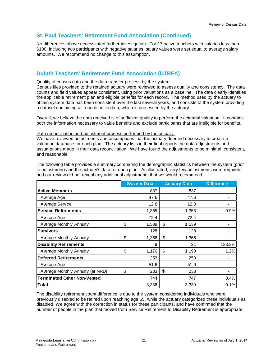## **St. Paul Teachers' Retirement Fund Association (Continued)**

No differences above necessitated further investigation. For 17 active teachers with salaries less than \$100, including two participants with negative salaries, salary values were set equal to average salary amounts. We recommend no change to this assumption.

## <span id="page-20-0"></span>**Duluth Teachers' Retirement Fund Association (DTRFA)**

#### Quality of census data and the data transfer process by the system:

Census files provided to the retained actuary were reviewed to assess quality and consistency. The data counts and field values appear consistent, using prior valuations as a baseline. The data clearly identifies the applicable retirement plan and eligible benefits for each record. The method used by the actuary to obtain system data has been consistent over the last several years, and consists of the system providing a dataset containing all records in its data, which is processed by the actuary.

Overall, we believe the data received is of sufficient quality to perform the actuarial valuation. It contains both the information necessary to value benefits and exclude participants that are ineligible for benefits.

#### Data reconciliation and adjustment process performed by the actuary:

We have reviewed adjustments and assumptions that the actuary deemed necessary to create a valuation database for each plan. The actuary lists in their final reports the data adjustments and assumptions made in their data reconciliation. We have found the adjustments to be minimal, consistent, and reasonable.

The following table provides a summary comparing the demographic statistics between the system (prior to adjustment) and the actuary's data for each plan. As illustrated, very few adjustments were required, and our review did not reveal any additional adjustments that we would recommend.

|                                    | <b>System Data</b> |             | <b>Actuary Data</b> | <b>Difference</b> |
|------------------------------------|--------------------|-------------|---------------------|-------------------|
| <b>Active Members</b>              |                    | 837         | 837                 |                   |
| Average Age                        |                    | 47.6        | 47.6                |                   |
| Average Service                    |                    | 12.8        | 12.8                |                   |
| <b>Service Retirements</b>         |                    | 1,365       | 1,353               | $-0.9%$           |
| Average Age                        |                    | 72.4        | 72.4                |                   |
| Average Monthly Annuity            | \$                 | \$<br>1,539 | 1,539               |                   |
| <b>Survivors</b>                   |                    | 128         | 128                 |                   |
| <b>Average Monthly Annuity</b>     | \$                 | \$<br>1,366 | 1,366               |                   |
| <b>Disability Retirements</b>      |                    | 9           | 21                  | 133.3%            |
| <b>Average Monthly Annuity</b>     | \$                 | \$<br>1,176 | 1,190               | 1.2%              |
| <b>Deferred Retirements</b>        |                    | 253         | 253                 |                   |
| Average Age                        |                    | 51.6        | 51.6                |                   |
| Average Monthly Annuity (at NRD)   | \$                 | \$<br>233   | 233                 |                   |
| <b>Terminated Other Non-Vested</b> |                    | 744         | 747                 | 0.4%              |
| Total                              |                    | 3,336       | 3,339               | 0.1%              |

The disability retirement count difference is due to the system considering individuals who were previously disabled to be retired upon reaching age 65, while the actuary categorized these individuals as disabled. We agree with the correction in status for these participants, and have confirmed that the number of people in the plan that moved from Service Retirement to Disability Retirement is appropriate.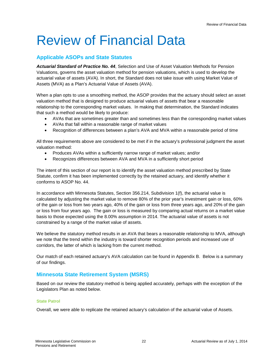# <span id="page-21-0"></span>Review of Financial Data

## <span id="page-21-1"></span>**Applicable ASOPs and State Statutes**

*Actuarial Standard of Practice No. 44*, Selection and Use of Asset Valuation Methods for Pension Valuations, governs the asset valuation method for pension valuations, which is used to develop the actuarial value of assets (AVA). In short, the Standard does not take issue with using Market Value of Assets (MVA) as a Plan's Actuarial Value of Assets (AVA).

When a plan opts to use a smoothing method, the ASOP provides that the actuary should select an asset valuation method that is designed to produce actuarial values of assets that bear a reasonable relationship to the corresponding market values. In making that determination, the Standard indicates that such a method would be likely to produce:

- AVAs that are sometimes greater than and sometimes less than the corresponding market values
- AVAs that fall within a reasonable range of market values
- Recognition of differences between a plan's AVA and MVA within a reasonable period of time

All three requirements above are considered to be met if in the actuary's professional judgment the asset valuation method:

- Produces AVAs within a sufficiently narrow range of market values; and/or
- Recognizes differences between AVA and MVA in a sufficiently short period

The intent of this section of our report is to identify the asset valuation method prescribed by State Statute, confirm it has been implemented correctly by the retained actuary, and identify whether it conforms to ASOP No. 44.

In accordance with Minnesota Statutes, Section 356.214, Subdivision 1(f), the actuarial value is calculated by adjusting the market value to remove 80% of the prior year's investment gain or loss, 60% of the gain or loss from two years ago, 40% of the gain or loss from three years ago, and 20% of the gain or loss from four years ago. The gain or loss is measured by comparing actual returns on a market value basis to those expected using the 8.00% assumption in 2014. The actuarial value of assets is not constrained by a range of the market value of assets.

We believe the statutory method results in an AVA that bears a reasonable relationship to MVA, although we note that the trend within the industry is toward shorter recognition periods and increased use of corridors, the latter of which is lacking from the current method.

Our match of each retained actuary's AVA calculation can be found in Appendix B. Below is a summary of our findings.

## <span id="page-21-2"></span>**Minnesota State Retirement System (MSRS)**

Based on our review the statutory method is being applied accurately, perhaps with the exception of the Legislators Plan as noted below.

### **State Patrol**

Overall, we were able to replicate the retained actuary's calculation of the actuarial value of Assets.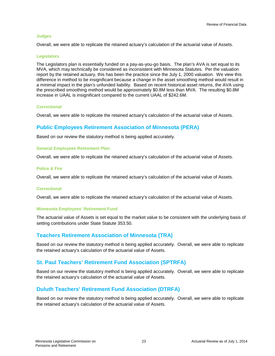#### **Judges**

Overall, we were able to replicate the retained actuary's calculation of the actuarial value of Assets.

#### **Legislators**

The Legislators plan is essentially funded on a pay-as-you-go basis. The plan's AVA is set equal to its MVA, which may technically be considered as inconsistent with Minnesota Statutes. Per the valuation report by the retained actuary, this has been the practice since the July 1, 2000 valuation. We view this difference in method to be insignificant because a change in the asset smoothing method would result in a minimal impact in the plan's unfunded liability. Based on recent historical asset returns, the AVA using the prescribed smoothing method would be approximately \$0.8M less than MVA. The resulting \$0.8M increase in UAAL is insignificant compared to the current UAAL of \$242.6M.

#### **Correctional**

Overall, we were able to replicate the retained actuary's calculation of the actuarial value of Assets.

## <span id="page-22-0"></span>**Public Employees Retirement Association of Minnesota (PERA)**

Based on our review the statutory method is being applied accurately.

#### **General Employees Retirement Plan**

Overall, we were able to replicate the retained actuary's calculation of the actuarial value of Assets.

#### **Police & Fire**

Overall, we were able to replicate the retained actuary's calculation of the actuarial value of Assets.

#### **Correctional**

Overall, we were able to replicate the retained actuary's calculation of the actuarial value of Assets.

#### **Minnesota Employees' Retirement Fund**

The actuarial value of Assets is set equal to the market value to be consistent with the underlying basis of setting contributions under State Statute 353.50.

## <span id="page-22-1"></span>**Teachers Retirement Association of Minnesota (TRA)**

Based on our review the statutory method is being applied accurately. Overall, we were able to replicate the retained actuary's calculation of the actuarial value of Assets.

## <span id="page-22-2"></span>**St. Paul Teachers' Retirement Fund Association (SPTRFA)**

Based on our review the statutory method is being applied accurately. Overall, we were able to replicate the retained actuary's calculation of the actuarial value of Assets.

## <span id="page-22-3"></span>**Duluth Teachers' Retirement Fund Association (DTRFA)**

Based on our review the statutory method is being applied accurately. Overall, we were able to replicate the retained actuary's calculation of the actuarial value of Assets.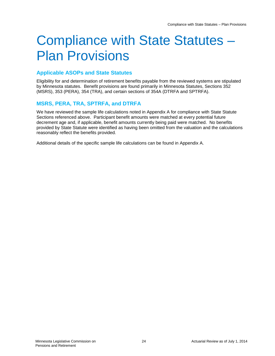# <span id="page-23-0"></span>Compliance with State Statutes – Plan Provisions

## <span id="page-23-1"></span>**Applicable ASOPs and State Statutes**

Eligibility for and determination of retirement benefits payable from the reviewed systems are stipulated by Minnesota statutes. Benefit provisions are found primarily in Minnesota Statutes, Sections 352 (MSRS), 353 (PERA), 354 (TRA), and certain sections of 354A (DTRFA and SPTRFA).

## <span id="page-23-2"></span>**MSRS, PERA, TRA, SPTRFA, and DTRFA**

We have reviewed the sample life calculations noted in Appendix A for compliance with State Statute Sections referenced above. Participant benefit amounts were matched at every potential future decrement age and, if applicable, benefit amounts currently being paid were matched. No benefits provided by State Statute were identified as having been omitted from the valuation and the calculations reasonably reflect the benefits provided.

Additional details of the specific sample life calculations can be found in Appendix A.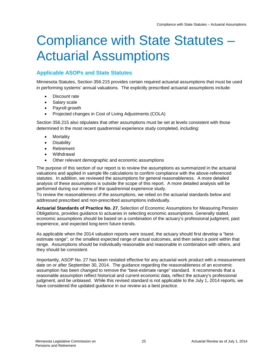# <span id="page-24-0"></span>Compliance with State Statutes – Actuarial Assumptions

# <span id="page-24-1"></span>**Applicable ASOPs and State Statutes**

Minnesota Statutes, Section 356.215 provides certain required actuarial assumptions that must be used in performing systems' annual valuations. The explicitly prescribed actuarial assumptions include:

- Discount rate
- Salary scale
- Payroll growth
- Projected changes in Cost of Living Adjustments (COLA)

Section 356.215 also stipulates that other assumptions must be set at levels consistent with those determined in the most recent quadrennial experience study completed, including:

- Mortality
- Disability
- **Retirement**
- **Withdrawal**
- Other relevant demographic and economic assumptions

The purpose of this section of our report is to review the assumptions as summarized in the actuarial valuations and applied in sample life calculations to confirm compliance with the above-referenced statutes. In addition, we reviewed the assumptions for general reasonableness. A more detailed analysis of these assumptions is outside the scope of this report. A more detailed analysis will be performed during our review of the quadrennial experience study.

To review the reasonableness of the assumptions, we relied on the actuarial standards below and addressed prescribed and non-prescribed assumptions individually.

**Actuarial Standards of Practice No. 27**, Selection of Economic Assumptions for Measuring Pension Obligations, provides guidance to actuaries in selecting economic assumptions. Generally stated, economic assumptions should be based on a combination of the actuary's professional judgment, past experience, and expected long-term future trends.

As applicable when the 2014 valuation reports were issued, the actuary should first develop a "bestestimate range", or the smallest expected range of actual outcomes, and then select a point within that range. Assumptions should be individually reasonable and reasonable in combination with others, and they should be consistent.

Importantly, ASOP No. 27 has been restated effective for any actuarial work product with a measurement date on or after September 30, 2014. The guidance regarding the reasonableness of an economic assumption has been changed to remove the "best-estimate range" standard. It recommends that a reasonable assumption reflect historical and current economic data, reflect the actuary's professional judgment, and be unbiased. While this revised standard is not applicable to the July 1, 2014 reports, we have considered the updated guidance in our review as a best practice.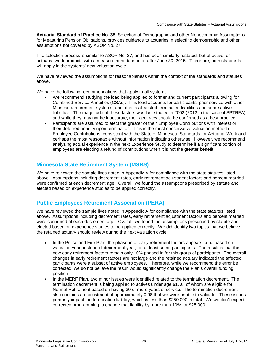**Actuarial Standard of Practice No. 35**, Selection of Demographic and other Noneconomic Assumptions for Measuring Pension Obligations, provides guidance to actuaries in selecting demographic and other assumptions not covered by ASOP No. 27.

The selection process is similar to ASOP No. 27, and has been similarly restated, but effective for actuarial work products with a measurement date on or after June 30, 2015. Therefore, both standards will apply in the systems' next valuation cycle.

We have reviewed the assumptions for reasonableness within the context of the standards and statutes above.

We have the following recommendations that apply to all systems:

- We recommend studying the load being applied to former and current participants allowing for Combined Service Annuities (CSAs). This load accounts for participants' prior service with other Minnesota retirement systems, and affects all vested terminated liabilities and some active liabilities. The magnitude of these factors was last studied in 2002 (2012 in the case of SPTRFA) and while they may not be inaccurate, their accuracy should be confirmed as a best practice.
- Participants are assumed to elect the greater of their Employee Contributions with interest or their deferred annuity upon termination. This is the most conservative valuation method of Employee Contributions, consistent with the State of Minnesota Standards for Actuarial Work and perhaps the most reasonable without information indicating otherwise. However, we recommend analyzing actual experience in the next Experience Study to determine if a significant portion of employees are electing a refund of contributions when it is not the greater benefit.

## <span id="page-25-0"></span>**Minnesota State Retirement System (MSRS)**

We have reviewed the sample lives noted in Appendix A for compliance with the state statutes listed above. Assumptions including decrement rates, early retirement adjustment factors and percent married were confirmed at each decrement age. Overall, we found the assumptions prescribed by statute and elected based on experience studies to be applied correctly.

## <span id="page-25-1"></span>**Public Employees Retirement Association (PERA)**

We have reviewed the sample lives noted in Appendix A for compliance with the state statutes listed above. Assumptions including decrement rates, early retirement adjustment factors and percent married were confirmed at each decrement age. Overall, we found the assumptions prescribed by statute and elected based on experience studies to be applied correctly. We did identify two topics that we believe the retained actuary should review during the next valuation cycle:

- In the Police and Fire Plan, the phase-in of early retirement factors appears to be based on valuation year, instead of decrement year, for at least some participants. The result is that the new early retirement factors remain only 10% phased in for this group of participants. The overall changes in early retirement factors are not large and the retained actuary indicated the affected participants were a subset of active employees. Therefore, while we recommend the error be corrected, we do not believe the result would significantly change the Plan's overall funding position.
- In the MERF Plan, two minor issues were identified related to the termination decrement. The termination decrement is being applied to actives under age 61, all of whom are eligible for Normal Retirement based on having 30 or more years of service. The termination decrement also contains an adjustment of approximately 0.98 that we were unable to validate. These issues primarily impact the termination liability, which is less than \$250,000 in total. We wouldn't expect corrected programming to change that liability by more than 10%, or \$25,000.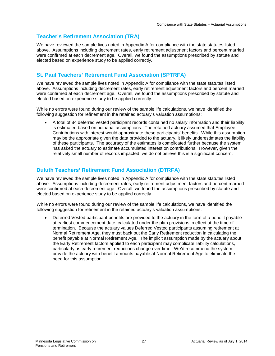# <span id="page-26-0"></span>**Teacher's Retirement Association (TRA)**

We have reviewed the sample lives noted in Appendix A for compliance with the state statutes listed above. Assumptions including decrement rates, early retirement adjustment factors and percent married were confirmed at each decrement age. Overall, we found the assumptions prescribed by statute and elected based on experience study to be applied correctly.

# <span id="page-26-1"></span>**St. Paul Teachers' Retirement Fund Association (SPTRFA)**

We have reviewed the sample lives noted in Appendix A for compliance with the state statutes listed above. Assumptions including decrement rates, early retirement adjustment factors and percent married were confirmed at each decrement age. Overall, we found the assumptions prescribed by statute and elected based on experience study to be applied correctly.

While no errors were found during our review of the sample life calculations, we have identified the following suggestion for refinement in the retained actuary's valuation assumptions:

• A total of 84 deferred vested participant records contained no salary information and their liability is estimated based on actuarial assumptions. The retained actuary assumed that Employee Contributions with interest would approximate these participants' benefits. While this assumption may be the appropriate given the data provided to the actuary, it likely underestimates the liability of these participants. The accuracy of the estimates is complicated further because the system has asked the actuary to estimate accumulated interest on contributions. However, given the relatively small number of records impacted, we do not believe this is a significant concern.

## <span id="page-26-2"></span>**Duluth Teachers' Retirement Fund Association (DTRFA)**

We have reviewed the sample lives noted in Appendix A for compliance with the state statutes listed above. Assumptions including decrement rates, early retirement adjustment factors and percent married were confirmed at each decrement age. Overall, we found the assumptions prescribed by statute and elected based on experience study to be applied correctly.

While no errors were found during our review of the sample life calculations, we have identified the following suggestion for refinement in the retained actuary's valuation assumptions:

• Deferred Vested participant benefits are provided to the actuary in the form of a benefit payable at earliest commencement date, calculated under the plan provisions in effect at the time of termination. Because the actuary values Deferred Vested participants assuming retirement at Normal Retirement Age, they must back out the Early Retirement reduction in calculating the benefit payable at Normal Retirement Age. The implicit assumption made by the actuary about the Early Retirement factors applied to each participant may complicate liability calculations, particularly as early retirement reductions change over time. We'd recommend the system provide the actuary with benefit amounts payable at Normal Retirement Age to eliminate the need for this assumption.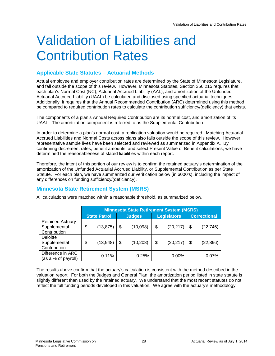# <span id="page-27-0"></span>Validation of Liabilities and Contribution Rates

## <span id="page-27-1"></span>**Applicable State Statutes – Actuarial Methods**

Actual employee and employer contribution rates are determined by the State of Minnesota Legislature, and fall outside the scope of this review. However, Minnesota Statutes, Section 356.215 requires that each plan's Normal Cost (NC), Actuarial Accrued Liability (AAL), and amortization of the Unfunded Actuarial Accrued Liability (UAAL) be calculated and disclosed using specified actuarial techniques. Additionally, it requires that the Annual Recommended Contribution (ARC) determined using this method be compared to required contribution rates to calculate the contribution sufficiency/(deficiency) that exists.

The components of a plan's Annual Required Contribution are its normal cost, and amortization of its UAAL. The amortization component is referred to as the Supplemental Contribution.

In order to determine a plan's normal cost, a replication valuation would be required. Matching Actuarial Accrued Liabilities and Normal Costs across plans also falls outside the scope of this review. However, representative sample lives have been selected and reviewed as summarized in Appendix A. By confirming decrement rates, benefit amounts, and select Present Value of Benefit calculations, we have determined the reasonableness of stated liabilities within each report.

Therefore, the intent of this portion of our review is to confirm the retained actuary's determination of the amortization of the Unfunded Actuarial Accrued Liability, or Supplemental Contribution as per State Statute. For each plan, we have summarized our verification below (in \$000's), including the impact of any differences on funding sufficiency/(deficiency).

## <span id="page-27-2"></span>**Minnesota State Retirement System (MSRS)**

|                         |                     | <b>Minnesota State Retirement System (MSRS)</b> |               |           |                    |           |                     |           |  |
|-------------------------|---------------------|-------------------------------------------------|---------------|-----------|--------------------|-----------|---------------------|-----------|--|
|                         | <b>State Patrol</b> |                                                 | <b>Judges</b> |           | <b>Legislators</b> |           | <b>Correctional</b> |           |  |
| <b>Retained Actuary</b> |                     |                                                 |               |           |                    |           |                     |           |  |
| Supplemental            | \$                  | (13, 875)                                       | \$            | (10,098)  | \$                 | (20, 217) | \$                  | (22, 746) |  |
| Contribution            |                     |                                                 |               |           |                    |           |                     |           |  |
| Deloitte                |                     |                                                 |               |           |                    |           |                     |           |  |
| Supplemental            | \$                  | (13,948)                                        | \$            | (10, 208) | \$                 | (20, 217) | \$                  | (22, 896) |  |
| Contribution            |                     |                                                 |               |           |                    |           |                     |           |  |
| Difference in ARC       |                     | $-0.11%$                                        |               | $-0.25%$  |                    | $0.00\%$  |                     | $-0.07%$  |  |
| (as a % of payroll)     |                     |                                                 |               |           |                    |           |                     |           |  |

All calculations were matched within a reasonable threshold, as summarized below.

The results above confirm that the actuary's calculation is consistent with the method described in the valuation report. For both the Judges and General Plan, the amortization period listed in state statute is slightly different than used by the retained actuary. We understand that the most recent statutes do not reflect the full funding periods developed in this valuation. We agree with the actuary's methodology.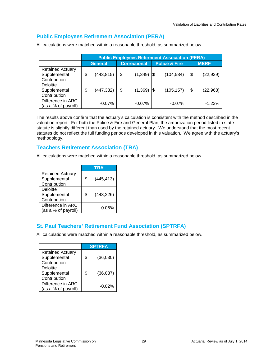## <span id="page-28-0"></span>**Public Employees Retirement Association (PERA)**

|                                                         | <b>Public Employees Retirement Association (PERA)</b> |            |                     |                      |                          |            |             |           |
|---------------------------------------------------------|-------------------------------------------------------|------------|---------------------|----------------------|--------------------------|------------|-------------|-----------|
|                                                         | <b>General</b>                                        |            | <b>Correctional</b> |                      | <b>Police &amp; Fire</b> |            | <b>MERF</b> |           |
| <b>Retained Actuary</b><br>Supplemental<br>Contribution | S                                                     | (443, 815) | \$                  | $(1,349)$ \$         |                          | (104, 584) | \$          | (22, 939) |
| Deloitte<br>Supplemental<br>Contribution                | \$                                                    | (447,382)  | \$                  | $(1,369)$ $\vert \$$ |                          | (105, 157) | \$          | (22, 968) |
| Difference in ARC<br>(as a % of payroll)                |                                                       | $-0.07%$   |                     | $-0.07\%$            |                          | $-0.07\%$  |             | $-1.23%$  |

All calculations were matched within a reasonable threshold, as summarized below.

The results above confirm that the actuary's calculation is consistent with the method described in the valuation report. For both the Police & Fire and General Plan, the amortization period listed in state statute is slightly different than used by the retained actuary. We understand that the most recent statutes do not reflect the full funding periods developed in this valuation. We agree with the actuary's methodology.

## <span id="page-28-1"></span>**Teachers Retirement Association (TRA)**

All calculations were matched within a reasonable threshold, as summarized below.

|                                                         | <b>TRA</b>       |
|---------------------------------------------------------|------------------|
| <b>Retained Actuary</b><br>Supplemental<br>Contribution | \$<br>(445, 413) |
| Deloitte<br>Supplemental<br>Contribution                | \$<br>(448, 226) |
| Difference in ARC<br>(as a % of payroll)                | $-0.06%$         |

# <span id="page-28-2"></span>**St. Paul Teachers' Retirement Fund Association (SPTRFA)**

All calculations were matched within a reasonable threshold, as summarized below.

|                                                         | <b>SPTRFA</b>   |
|---------------------------------------------------------|-----------------|
| <b>Retained Actuary</b><br>Supplemental<br>Contribution | \$<br>(36,030)  |
| <b>Deloitte</b><br>Supplemental<br>Contribution         | \$<br>(36, 087) |
| Difference in ARC<br>(as a % of payroll)                | $-0.02%$        |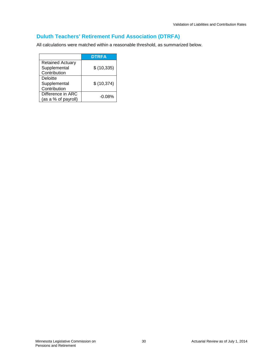# <span id="page-29-0"></span>**Duluth Teachers' Retirement Fund Association (DTRFA)**

All calculations were matched within a reasonable threshold, as summarized below.

|                         | <b>DTRFA</b> |
|-------------------------|--------------|
| <b>Retained Actuary</b> |              |
| Supplemental            | \$(10, 335)  |
| Contribution            |              |
| Deloitte                |              |
| Supplemental            | \$(10, 374)  |
| Contribution            |              |
| Difference in ARC       | $-0.08\%$    |
| (as a % of payroll)     |              |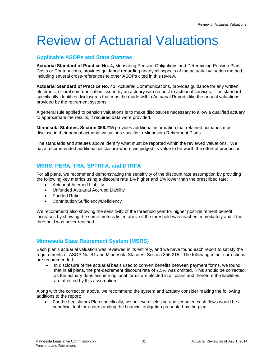# <span id="page-30-0"></span>Review of Actuarial Valuations

## <span id="page-30-1"></span>**Applicable ASOPs and State Statutes**

**Actuarial Standard of Practice No. 4,** [Measuring Pension Obligations and Determining Pension Plan](http://www.actuarialstandardsboard.org/pdf/asops/asop004_173.pdf)  [Costs or Contributions](http://www.actuarialstandardsboard.org/pdf/asops/asop004_173.pdf)**,** provides guidance regarding nearly all aspects of the actuarial valuation method, including several cross-references to other ASOPs cited in this review.

**Actuarial Standard of Practice No. 41**, Actuarial Communications, provides guidance for any written, electronic, or oral communication issued by an actuary with respect to actuarial services. The standard specifically identifies disclosures that must be made within Actuarial Reports like the annual valuations provided by the retirement systems.

A general rule applied to pension valuations is to make disclosures necessary to allow a qualified actuary to approximate the results, if required data were provided.

**Minnesota Statutes, Section 356.215** provides additional information that retained actuaries must disclose in their annual actuarial valuations specific to Minnesota Retirement Plans.

The standards and statutes above identify what must be reported within the reviewed valuations. We have recommended additional disclosure where we judged its value to be worth the effort of production.

## <span id="page-30-2"></span>**MSRS, PERA, TRA, SPTRFA, and DTRFA**

For all plans, we recommend demonstrating the sensitivity of the discount rate assumption by providing the following key metrics using a discount rate 1% higher and 1% lower than the prescribed rate:

- Actuarial Accrued Liability
- Unfunded Actuarial Accrued Liability
- Funded Ratio
- Contribution Sufficiency/Deficiency

We recommend also showing the sensitivity of the threshold year for higher post-retirement benefit increases by showing the same metrics listed above if the threshold was reached immediately and if the threshold was never reached.

## <span id="page-30-3"></span>**Minnesota State Retirement System (MSRS)**

Each plan's actuarial valuation was reviewed in its entirety, and we have found each report to satisfy the requirements of ASOP No. 41 and Minnesota Statutes, Section 356.215. The following minor corrections are recommended:

• In disclosure of the actuarial basis used to convert benefits between payment forms, we found that in all plans, the pre-decrement discount rate of 7.5% was omitted. This should be corrected, as the actuary does assume optional forms are elected in all plans and therefore the liabilities are affected by this assumption.

Along with the correction above, we recommend the system and actuary consider making the following additions to the report:

• For the Legislators Plan specifically, we believe disclosing undiscounted cash flows would be a beneficial tool for understanding the financial obligation presented by the plan.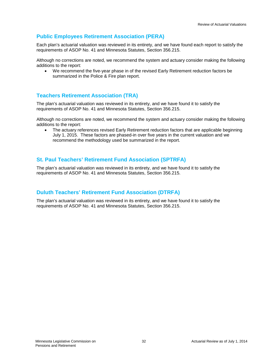# <span id="page-31-0"></span>**Public Employees Retirement Association (PERA)**

Each plan's actuarial valuation was reviewed in its entirety, and we have found each report to satisfy the requirements of ASOP No. 41 and Minnesota Statutes, Section 356.215.

Although no corrections are noted, we recommend the system and actuary consider making the following additions to the report:

• We recommend the five-year phase in of the revised Early Retirement reduction factors be summarized in the Police & Fire plan report.

## <span id="page-31-1"></span>**Teachers Retirement Association (TRA)**

The plan's actuarial valuation was reviewed in its entirety, and we have found it to satisfy the requirements of ASOP No. 41 and Minnesota Statutes, Section 356.215.

Although no corrections are noted, we recommend the system and actuary consider making the following additions to the report:

• The actuary references revised Early Retirement reduction factors that are applicable beginning July 1, 2015. These factors are phased-in over five years in the current valuation and we recommend the methodology used be summarized in the report.

## <span id="page-31-2"></span>**St. Paul Teachers' Retirement Fund Association (SPTRFA)**

The plan's actuarial valuation was reviewed in its entirety, and we have found it to satisfy the requirements of ASOP No. 41 and Minnesota Statutes, Section 356.215.

## <span id="page-31-3"></span>**Duluth Teachers' Retirement Fund Association (DTRFA)**

The plan's actuarial valuation was reviewed in its entirety, and we have found it to satisfy the requirements of ASOP No. 41 and Minnesota Statutes, Section 356.215.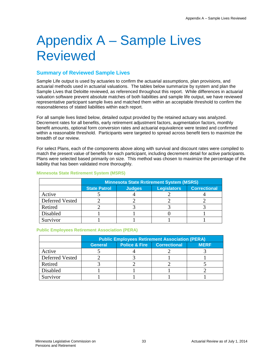# <span id="page-32-0"></span>Appendix A – Sample Lives Reviewed

## <span id="page-32-1"></span>**Summary of Reviewed Sample Lives**

Sample Life output is used by actuaries to confirm the actuarial assumptions, plan provisions, and actuarial methods used in actuarial valuations. The tables below summarize by system and plan the Sample Lives that Deloitte reviewed, as referenced throughout this report. While differences in actuarial valuation software prevent absolute matches of both liabilities and sample life output, we have reviewed representative participant sample lives and matched them within an acceptable threshold to confirm the reasonableness of stated liabilities within each report.

For all sample lives listed below, detailed output provided by the retained actuary was analyzed. Decrement rates for all benefits, early retirement adjustment factors, augmentation factors, monthly benefit amounts, optional form conversion rates and actuarial equivalence were tested and confirmed within a reasonable threshold. Participants were targeted to spread across benefit tiers to maximize the breadth of our review.

For select Plans, each of the components above along with survival and discount rates were compiled to match the present value of benefits for each participant, including decrement detail for active participants. Plans were selected based primarily on size. This method was chosen to maximize the percentage of the liability that has been validated more thoroughly.

|                 | <b>Minnesota State Retirement System (MSRS)</b> |                                                            |  |  |  |  |  |  |  |
|-----------------|-------------------------------------------------|------------------------------------------------------------|--|--|--|--|--|--|--|
|                 | <b>State Patrol</b>                             | <b>Legislators</b><br><b>Correctional</b><br><b>Judges</b> |  |  |  |  |  |  |  |
| Active          |                                                 |                                                            |  |  |  |  |  |  |  |
| Deferred Vested |                                                 |                                                            |  |  |  |  |  |  |  |
| Retired         |                                                 |                                                            |  |  |  |  |  |  |  |
| Disabled        |                                                 |                                                            |  |  |  |  |  |  |  |
| Survivor        |                                                 |                                                            |  |  |  |  |  |  |  |

### **Minnesota State Retirement System (MSRS)**

#### **Public Employees Retirement Association (PERA)**

|                 | <b>Public Employees Retirement Association (PERA)</b> |                                                                |  |  |  |  |  |  |  |
|-----------------|-------------------------------------------------------|----------------------------------------------------------------|--|--|--|--|--|--|--|
|                 | <b>General</b>                                        | <b>Police &amp; Fire</b><br><b>Correctional</b><br><b>MERF</b> |  |  |  |  |  |  |  |
| Active          |                                                       |                                                                |  |  |  |  |  |  |  |
| Deferred Vested |                                                       |                                                                |  |  |  |  |  |  |  |
| Retired         |                                                       |                                                                |  |  |  |  |  |  |  |
| Disabled        |                                                       |                                                                |  |  |  |  |  |  |  |
| Survivor        |                                                       |                                                                |  |  |  |  |  |  |  |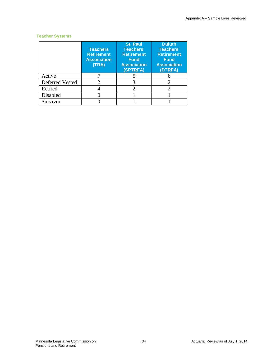### **Teacher Systems**

|                 | <b>Teachers</b><br><b>Retirement</b><br><b>Association</b><br>(TRA) | <b>St. Paul</b><br>Teachers'<br><b>Retirement</b><br><b>Fund</b><br><b>Association</b><br>(SPTRFA) | <b>Duluth</b><br>Teachers'<br><b>Retirement</b><br><b>Fund</b><br><b>Association</b><br>(DTRFA) |
|-----------------|---------------------------------------------------------------------|----------------------------------------------------------------------------------------------------|-------------------------------------------------------------------------------------------------|
| Active          |                                                                     |                                                                                                    |                                                                                                 |
| Deferred Vested |                                                                     | 3                                                                                                  |                                                                                                 |
| Retired         |                                                                     | 2                                                                                                  | 2                                                                                               |
| Disabled        |                                                                     |                                                                                                    |                                                                                                 |
| Survivor        |                                                                     |                                                                                                    |                                                                                                 |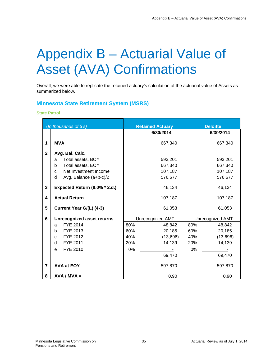# <span id="page-34-0"></span>Appendix B – Actuarial Value of Asset (AVA) Confirmations

Overall, we were able to replicate the retained actuary's calculation of the actuarial value of Assets as summarized below.

## <span id="page-34-1"></span>**Minnesota State Retirement System (MSRS)**

#### **State Patrol**

|                | (In thousands of \$'s)                | <b>Retained Actuary</b> | <b>Deloitte</b>  |
|----------------|---------------------------------------|-------------------------|------------------|
|                |                                       | 6/30/2014               | 6/30/2014        |
| 1              | <b>MVA</b>                            | 667,340                 | 667,340          |
| $\mathbf{2}$   | Avg. Bal. Calc.                       |                         |                  |
|                | Total assets, BOY<br>a                | 593,201                 | 593,201          |
|                | Total assets, EOY<br>b                | 667,340                 | 667,340          |
|                | Net Investment Income<br>$\mathbf{C}$ | 107,187                 | 107,187          |
|                | Avg. Balance (a+b-c)/2<br>d           | 576,677                 | 576,677          |
| 3              | Expected Return (8.0% * 2.d.)         | 46,134                  | 46,134           |
| 4              | <b>Actual Return</b>                  | 107,187                 | 107,187          |
| 5              | Current Year G/(L) (4-3)              | 61,053                  | 61,053           |
| 6              | <b>Unrecognized asset returns</b>     | Unrecognized AMT        | Unrecognized AMT |
|                | FYE 2014<br>a                         | 80%<br>48,842           | 80%<br>48,842    |
|                | FYE 2013<br>b                         | 20,185<br>60%           | 20,185<br>60%    |
|                | FYE 2012<br>C                         | 40%<br>(13,696)         | 40%<br>(13,696)  |
|                | FYE 2011<br>d                         | 20%<br>14,139           | 20%<br>14,139    |
|                | FYE 2010<br>e                         | 0%                      | 0%               |
|                |                                       | 69,470                  | 69,470           |
| $\overline{7}$ | <b>AVA at EOY</b>                     | 597,870                 | 597,870          |
| 8              | $AVA / MVA =$                         | 0.90                    | 0.90             |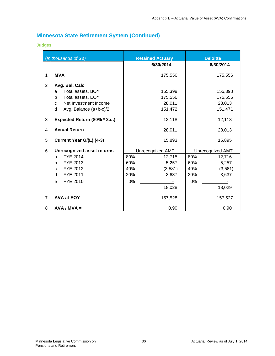## **Judges**

|                | (In thousands of \$'s)            | <b>Retained Actuary</b> | <b>Deloitte</b>  |
|----------------|-----------------------------------|-------------------------|------------------|
|                |                                   | 6/30/2014               | 6/30/2014        |
| 1              | <b>MVA</b>                        | 175,556                 | 175,556          |
| $\overline{2}$ | Avg. Bal. Calc.                   |                         |                  |
|                | Total assets, BOY<br>a            | 155,398                 | 155,398          |
|                | Total assets, EOY<br>b            | 175,556                 | 175,556          |
|                | Net Investment Income<br>C        | 28,011                  | 28,013           |
|                | d<br>Avg. Balance (a+b-c)/2       | 151,472                 | 151,471          |
| 3              | Expected Return (80% * 2.d.)      | 12,118                  | 12,118           |
| 4              | <b>Actual Return</b>              | 28,011                  | 28,013           |
| 5              | Current Year G/(L) (4-3)          | 15,893                  | 15,895           |
| 6              | <b>Unrecognized asset returns</b> | Unrecognized AMT        | Unrecognized AMT |
|                | FYE 2014<br>a                     | 80%<br>12,715           | 80%<br>12,716    |
|                | FYE 2013<br>b.                    | 60%<br>5,257            | 60%<br>5,257     |
|                | FYE 2012<br>$\mathbf{C}$          | 40%<br>(3,581)          | 40%<br>(3,581)   |
|                | FYE 2011<br>d                     | 20%<br>3,637            | 20%<br>3,637     |
|                | FYE 2010<br>e                     | 0%                      | 0%               |
|                |                                   | 18,028                  | 18,029           |
| $\overline{7}$ | AVA at EOY                        | 157,528                 | 157,527          |
| 8              | $AVA / MVA =$                     | 0.90                    | 0.90             |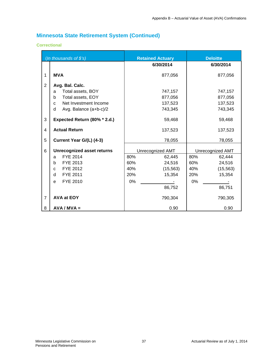### **Correctional**

|                | (In thousands of \$'s)                | <b>Retained Actuary</b> | <b>Deloitte</b>  |
|----------------|---------------------------------------|-------------------------|------------------|
|                |                                       | 6/30/2014               | 6/30/2014        |
| 1              | <b>MVA</b>                            | 877,056                 | 877,056          |
| 2              | Avg. Bal. Calc.                       |                         |                  |
|                | Total assets, BOY<br>a                | 747,157                 | 747,157          |
|                | Total assets, EOY<br>b                | 877,056                 | 877,056          |
|                | Net Investment Income<br>$\mathbf{C}$ | 137,523                 | 137,523          |
|                | d<br>Avg. Balance (a+b-c)/2           | 743,345                 | 743,345          |
| 3              | Expected Return (80% * 2.d.)          | 59,468                  | 59,468           |
| 4              | <b>Actual Return</b>                  | 137,523                 | 137,523          |
| 5              | Current Year G/(L) (4-3)              | 78,055                  | 78,055           |
| 6              | <b>Unrecognized asset returns</b>     | Unrecognized AMT        | Unrecognized AMT |
|                | <b>FYE 2014</b><br>a                  | 80%<br>62,445           | 80%<br>62,444    |
|                | FYE 2013<br>b                         | 60%<br>24,516           | 60%<br>24,516    |
|                | FYE 2012<br>C                         | 40%<br>(15, 563)        | (15, 563)<br>40% |
|                | <b>FYE 2011</b><br>d                  | 20%<br>15,354           | 20%<br>15,354    |
|                | FYE 2010<br>e                         | 0%                      | $0\%$            |
|                |                                       | 86,752                  | 86,751           |
| $\overline{7}$ | <b>AVA at EOY</b>                     | 790,304                 | 790,305          |
| 8              | $AVA / MVA =$                         | 0.90                    | 0.90             |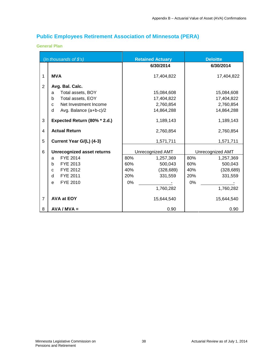# <span id="page-37-0"></span>**Public Employees Retirement Association of Minnesota (PERA)**

### **General Plan**

|                | (In thousands of \$'s)            | <b>Retained Actuary</b> | <b>Deloitte</b>   |
|----------------|-----------------------------------|-------------------------|-------------------|
|                |                                   | 6/30/2014               | 6/30/2014         |
| 1              | <b>MVA</b>                        | 17,404,822              | 17,404,822        |
| $\overline{2}$ | Avg. Bal. Calc.                   |                         |                   |
|                | Total assets, BOY<br>a            | 15,084,608              | 15,084,608        |
|                | Total assets, EOY<br>b            | 17,404,822              | 17,404,822        |
|                | Net Investment Income<br>C        | 2,760,854               | 2,760,854         |
|                | d<br>Avg. Balance (a+b-c)/2       | 14,864,288              | 14,864,288        |
| 3              | Expected Return (80% * 2.d.)      | 1,189,143               | 1,189,143         |
| 4              | <b>Actual Return</b>              | 2,760,854               | 2,760,854         |
| 5              | Current Year G/(L) (4-3)          | 1,571,711               | 1,571,711         |
| 6              | <b>Unrecognized asset returns</b> | Unrecognized AMT        | Unrecognized AMT  |
|                | FYE 2014<br>a                     | 80%<br>1,257,369        | 80%<br>1,257,369  |
|                | FYE 2013<br>b                     | 60%<br>500,043          | 60%<br>500,043    |
|                | FYE 2012<br>C                     | 40%<br>(328, 689)       | (328, 689)<br>40% |
|                | FYE 2011<br>d                     | 20%<br>331,559          | 20%<br>331,559    |
|                | FYE 2010<br>e                     | 0%                      | 0%                |
|                |                                   | 1,760,282               | 1,760,282         |
| $\overline{7}$ | <b>AVA at EOY</b>                 | 15,644,540              | 15,644,540        |
| 8              | $AVA / MVA =$                     | 0.90                    | 0.90              |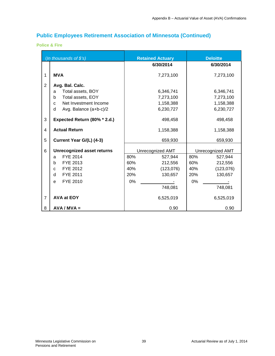**Police & Fire**

|                | (In thousands of $$s$ )           | <b>Retained Actuary</b> | <b>Deloitte</b>  |
|----------------|-----------------------------------|-------------------------|------------------|
|                |                                   | 6/30/2014               | 6/30/2014        |
| 1              | <b>MVA</b>                        | 7,273,100               | 7,273,100        |
| 2              | Avg. Bal. Calc.                   |                         |                  |
|                | Total assets, BOY<br>a            | 6,346,741               | 6,346,741        |
|                | Total assets, EOY<br>b            | 7,273,100               | 7,273,100        |
|                | Net Investment Income<br>C        | 1,158,388               | 1,158,388        |
|                | d<br>Avg. Balance (a+b-c)/2       | 6,230,727               | 6,230,727        |
| 3              | Expected Return (80% * 2.d.)      | 498,458                 | 498,458          |
| 4              | <b>Actual Return</b>              | 1,158,388               | 1,158,388        |
| 5              | Current Year G/(L) (4-3)          | 659,930                 | 659,930          |
| 6              | <b>Unrecognized asset returns</b> | Unrecognized AMT        | Unrecognized AMT |
|                | <b>FYE 2014</b><br>a              | 80%<br>527,944          | 80%<br>527,944   |
|                | FYE 2013<br>b                     | 60%<br>212,556          | 60%<br>212,556   |
|                | FYE 2012<br>C                     | 40%<br>(123,076)        | (123,076)<br>40% |
|                | FYE 2011<br>d                     | 20%<br>130,657          | 20%<br>130,657   |
|                | FYE 2010<br>e                     | 0%                      | 0%               |
|                |                                   | 748,081                 | 748,081          |
| $\overline{7}$ | AVA at EOY                        | 6,525,019               | 6,525,019        |
| 8              | $AVA / MVA =$                     | 0.90                    | 0.90             |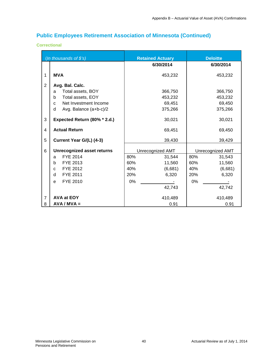### **Correctional**

|                | (In thousands of \$'s)                | <b>Retained Actuary</b> | <b>Deloitte</b>  |
|----------------|---------------------------------------|-------------------------|------------------|
|                |                                       | 6/30/2014               | 6/30/2014        |
| 1              | <b>MVA</b>                            | 453,232                 | 453,232          |
| 2              | Avg. Bal. Calc.                       |                         |                  |
|                | Total assets, BOY<br>a                | 366,750                 | 366,750          |
|                | Total assets, EOY<br>b                | 453,232                 | 453,232          |
|                | Net Investment Income<br>$\mathbf{C}$ | 69,451                  | 69,450           |
|                | d<br>Avg. Balance (a+b-c)/2           | 375,266                 | 375,266          |
| 3              | Expected Return (80% * 2.d.)          | 30,021                  | 30,021           |
| 4              | <b>Actual Return</b>                  | 69,451                  | 69,450           |
| 5              | Current Year G/(L) (4-3)              | 39,430                  | 39,429           |
| 6              | <b>Unrecognized asset returns</b>     | Unrecognized AMT        | Unrecognized AMT |
|                | FYE 2014<br>a                         | 80%<br>31,544           | 80%<br>31,543    |
|                | FYE 2013<br>b                         | 11,560<br>60%           | 11,560<br>60%    |
|                | FYE 2012<br>C                         | 40%<br>(6,681)          | 40%<br>(6,681)   |
|                | FYE 2011<br>d                         | 20%<br>6,320            | 20%<br>6,320     |
|                | FYE 2010<br>e                         | 0%                      | $0\%$            |
|                |                                       | 42,743                  | 42,742           |
| $\overline{7}$ | <b>AVA at EOY</b>                     | 410,489                 | 410,489          |
| 8              | $AVA / MVA =$                         | 0.91                    | 0.91             |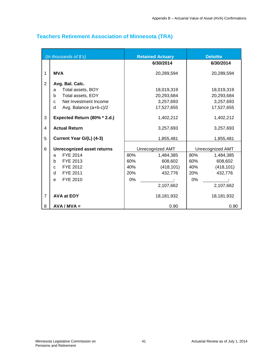|                | (In thousands of \$'s)                    |     | <b>Retained Actuary</b> |     | <b>Deloitte</b>  |
|----------------|-------------------------------------------|-----|-------------------------|-----|------------------|
|                |                                           |     | 6/30/2014               |     | 6/30/2014        |
| 1              | <b>MVA</b>                                |     | 20,289,594              |     | 20,289,594       |
| $\overline{2}$ | Avg. Bal. Calc.<br>Total assets, BOY<br>a |     | 18,019,319              |     | 18,019,319       |
|                | Total assets, EOY<br>b                    |     | 20,293,684              |     | 20,293,684       |
|                | Net Investment Income<br>$\mathbf{C}$     |     | 3,257,693               |     | 3,257,693        |
|                | d<br>Avg. Balance (a+b-c)/2               |     | 17,527,655              |     | 17,527,655       |
| 3              | Expected Return (80% * 2.d.)              |     | 1,402,212               |     | 1,402,212        |
| 4              | <b>Actual Return</b>                      |     | 3,257,693               |     | 3,257,693        |
| 5              | Current Year G/(L) (4-3)                  |     | 1,855,481               |     | 1,855,481        |
| 6              | <b>Unrecognized asset returns</b>         |     | Unrecognized AMT        |     | Unrecognized AMT |
|                | FYE 2014<br>a                             | 80% | 1,484,385               | 80% | 1,484,385        |
|                | FYE 2013<br>b                             | 60% | 608,602                 | 60% | 608,602          |
|                | FYE 2012<br>C                             | 40% | (418, 101)              | 40% | (418, 101)       |
|                | FYE 2011<br>d                             | 20% | 432,776                 | 20% | 432,776          |
|                | FYE 2010<br>e                             | 0%  |                         | 0%  |                  |
|                |                                           |     | 2,107,662               |     | 2,107,662        |
| $\overline{7}$ | <b>AVA at EOY</b>                         |     | 18,181,932              |     | 18,181,932       |
| 8              | $AVA / MVA =$                             |     | 0.90                    |     | 0.90             |

# <span id="page-40-0"></span>**Teachers Retirement Association of Minnesota (TRA)**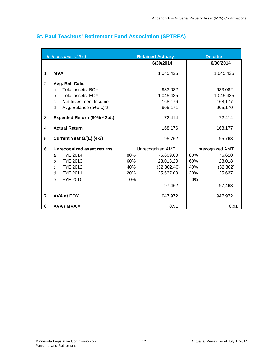|                     | (In thousands of \$'s)                                                                                                                      |                                | <b>Retained Actuary</b>                                      |                                | <b>Deloitte</b>                                   |
|---------------------|---------------------------------------------------------------------------------------------------------------------------------------------|--------------------------------|--------------------------------------------------------------|--------------------------------|---------------------------------------------------|
|                     |                                                                                                                                             |                                | 6/30/2014                                                    |                                | 6/30/2014                                         |
| 1                   | <b>MVA</b>                                                                                                                                  |                                | 1,045,435                                                    |                                | 1,045,435                                         |
| $\overline{2}$      | Avg. Bal. Calc.<br>Total assets, BOY<br>a<br>Total assets, EOY<br>b<br>Net Investment Income<br>$\mathbf{C}$<br>d<br>Avg. Balance (a+b-c)/2 |                                | 933,082<br>1,045,435<br>168,176<br>905,171                   |                                | 933,082<br>1,045,435<br>168,177<br>905,170        |
| 3                   | Expected Return (80% * 2.d.)                                                                                                                |                                | 72,414                                                       |                                | 72,414                                            |
| $\overline{4}$      | <b>Actual Return</b>                                                                                                                        |                                | 168,176                                                      |                                | 168,177                                           |
| 5                   | Current Year G/(L) (4-3)                                                                                                                    |                                | 95,762                                                       |                                | 95,763                                            |
| 6                   | <b>Unrecognized asset returns</b>                                                                                                           |                                | Unrecognized AMT                                             |                                | Unrecognized AMT                                  |
|                     | <b>FYE 2014</b><br>a<br>FYE 2013<br>b<br>FYE 2012<br>C<br>FYE 2011<br>d<br>FYE 2010<br>e                                                    | 80%<br>60%<br>40%<br>20%<br>0% | 76,609.60<br>28,018.20<br>(32,802.40)<br>25,637.00<br>97,462 | 80%<br>60%<br>40%<br>20%<br>0% | 76,610<br>28,018<br>(32, 802)<br>25,637<br>97,463 |
| $\overline{7}$<br>8 | <b>AVA at EOY</b><br>$AVA / MVA =$                                                                                                          |                                | 947,972<br>0.91                                              |                                | 947,972<br>0.91                                   |

# <span id="page-41-0"></span>**St. Paul Teachers' Retirement Fund Association (SPTRFA)**